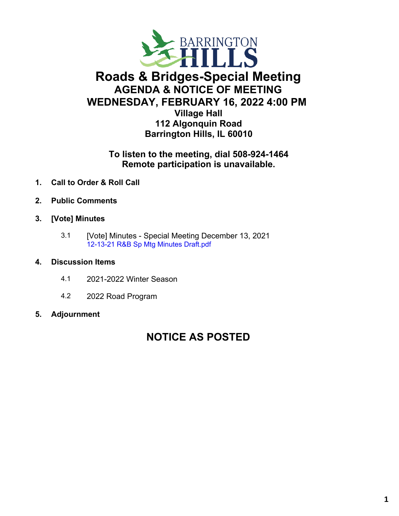

# **Roads & Bridges-Special Meeting AGENDA & NOTICE OF MEETING WEDNESDAY, FEBRUARY 16, 2022 4:00 PM**

**Village Hall 112 Algonquin Road Barrington Hills, IL 60010**

## **To listen to the meeting, dial 508-924-1464 Remote participation is unavailable.**

- **1. Call to Order & Roll Call**
- **2. Public Comments**
- **3. [Vote] Minutes**
	- 3.1 [Vote] Minutes Special Meeting December 13, 2021 [12-13-21](https://legistarweb-production.s3.amazonaws.com/uploads/attachment/pdf/1250219/12-13-21_R_B_Sp_Mtg_Minutes_Draft.pdf) R&B Sp Mtg Minutes Draft.pdf

### **4. Discussion Items**

- 4.1 2021-2022 Winter Season
- 4.2 2022 Road Program

### **5. Adjournment**

# **NOTICE AS POSTED**